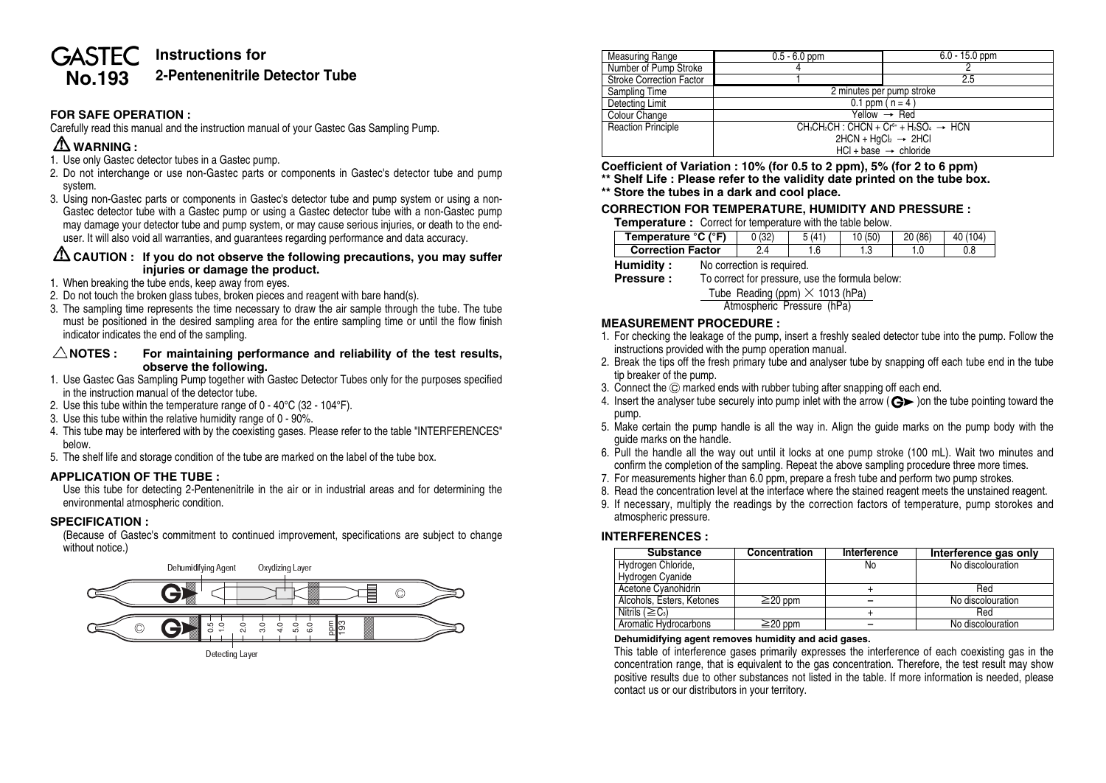# **Instructions for GASTEC No.193 2-Pentenenitrile Detector Tube**

### **FOR SAFE OPERATION :**

Carefully read this manual and the instruction manual of your Gastec Gas Sampling Pump.

# **WARNING :**

- 1. Use only Gastec detector tubes in a Gastec pump.
- 2. Do not interchange or use non-Gastec parts or components in Gastec's detector tube and pump system.
- 3. Using non-Gastec parts or components in Gastec's detector tube and pump system or using a non-Gastec detector tube with a Gastec pump or using a Gastec detector tube with a non-Gastec pump may damage your detector tube and pump system, or may cause serious injuries, or death to the enduser. It will also void all warranties, and guarantees regarding performance and data accuracy.

### **CAUTION : If you do not observe the following precautions, you may suffer injuries or damage the product.**

- 1. When breaking the tube ends, keep away from eyes.
- 2. Do not touch the broken glass tubes, broken pieces and reagent with bare hand(s).
- 3. The sampling time represents the time necessary to draw the air sample through the tube. The tube must be positioned in the desired sampling area for the entire sampling time or until the flow finish indicator indicates the end of the sampling.

#### $\triangle$  NOTES : For maintaining performance and reliability of the test results. **observe the following.**

- 1. Use Gastec Gas Sampling Pump together with Gastec Detector Tubes only for the purposes specified in the instruction manual of the detector tube.
- 2. Use this tube within the temperature range of 0 40°C (32 104°F).
- 3. Use this tube within the relative humidity range of 0 90%.
- 4. This tube may be interfered with by the coexisting gases. Please refer to the table "INTERFERENCES" below.
- 5. The shelf life and storage condition of the tube are marked on the label of the tube box.

### **APPLICATION OF THE TUBE :**

Use this tube for detecting 2-Pentenenitrile in the air or in industrial areas and for determining the environmental atmospheric condition.

#### **SPECIFICATION :**

(Because of Gastec's commitment to continued improvement, specifications are subject to change without notice.)



| <b>Measuring Range</b>          | $0.5 - 6.0$ ppm                                                                           | $6.0 - 15.0$ ppm |  |  |  |
|---------------------------------|-------------------------------------------------------------------------------------------|------------------|--|--|--|
| Number of Pump Stroke           |                                                                                           |                  |  |  |  |
| <b>Stroke Correction Factor</b> |                                                                                           | 2.5              |  |  |  |
| Sampling Time                   | 2 minutes per pump stroke                                                                 |                  |  |  |  |
| Detecting Limit                 | 0.1 ppm $(n = 4)$                                                                         |                  |  |  |  |
| Colour Change                   | $Yellow \rightarrow Red$                                                                  |                  |  |  |  |
| <b>Reaction Principle</b>       | $CH_3CH_2CH$ : CHCN + Cr <sup>6+</sup> + H <sub>2</sub> SO <sub>4</sub> $\rightarrow$ HCN |                  |  |  |  |
|                                 | $2HCN + HqCl_2 \rightarrow 2HCl$                                                          |                  |  |  |  |
|                                 | $HCl + base \rightarrow chloride$                                                         |                  |  |  |  |

**Coefficient of Variation : 10% (for 0.5 to 2 ppm), 5% (for 2 to 6 ppm)**

**\*\* Shelf Life : Please refer to the validity date printed on the tube box.**

**\*\* Store the tubes in a dark and cool place.**

#### **CORRECTION FOR TEMPERATURE, HUMIDITY AND PRESSURE :**

**Temperature :** Correct for temperature with the table below.

| Temperature °C (°F)      | (32) | E(11) |   | (86)<br>nn |  |
|--------------------------|------|-------|---|------------|--|
| <b>Correction Factor</b> |      |       | w | . .        |  |
|                          |      |       |   |            |  |

**Humidity :** No correction is required.<br>**Pressure :** To correct for pressure. u

To correct for pressure, use the formula below:

Tube Reading (ppm) **×** 1013 (hPa)

Atmospheric Pressure (hPa)

### **MEASUREMENT PROCEDURE :**

- 1. For checking the leakage of the pump, insert a freshly sealed detector tube into the pump. Follow the instructions provided with the pump operation manual.
- 2. Break the tips off the fresh primary tube and analyser tube by snapping off each tube end in the tube tip breaker of the pump.
- 3. Connect the  $\odot$  marked ends with rubber tubing after snapping off each end.
- 4. Insert the analyser tube securely into pump inlet with the arrow  $(Q_1)$  on the tube pointing toward the pump.
- 5. Make certain the pump handle is all the way in. Align the guide marks on the pump body with the guide marks on the handle.
- 6. Pull the handle all the way out until it locks at one pump stroke (100 mL). Wait two minutes and confirm the completion of the sampling. Repeat the above sampling procedure three more times.
- 7. For measurements higher than 6.0 ppm, prepare a fresh tube and perform two pump strokes.
- 8. Read the concentration level at the interface where the stained reagent meets the unstained reagent.
- 9. If necessary, multiply the readings by the correction factors of temperature, pump storokes and atmospheric pressure.

#### **INTERFERENCES :**

| <b>Substance</b>                  | Concentration | Interference | Interference gas only |
|-----------------------------------|---------------|--------------|-----------------------|
| Hydrogen Chloride,                |               | No           | No discolouration     |
| Hydrogen Cyanide                  |               |              |                       |
| Acetone Cyanohidrin               |               |              | Red                   |
| Alcohols, Esters, Ketones         | $\geq$ 20 ppm |              | No discolouration     |
| Nitrils ( $\geq$ C <sub>3</sub> ) |               |              | Red                   |
| Aromatic Hydrocarbons             | $\geq$ 20 ppm |              | No discolouration     |

#### **Dehumidifying agent removes humidity and acid gases.**

This table of interference gases primarily expresses the interference of each coexisting gas in the concentration range, that is equivalent to the gas concentration. Therefore, the test result may show positive results due to other substances not listed in the table. If more information is needed, please contact us or our distributors in your territory.